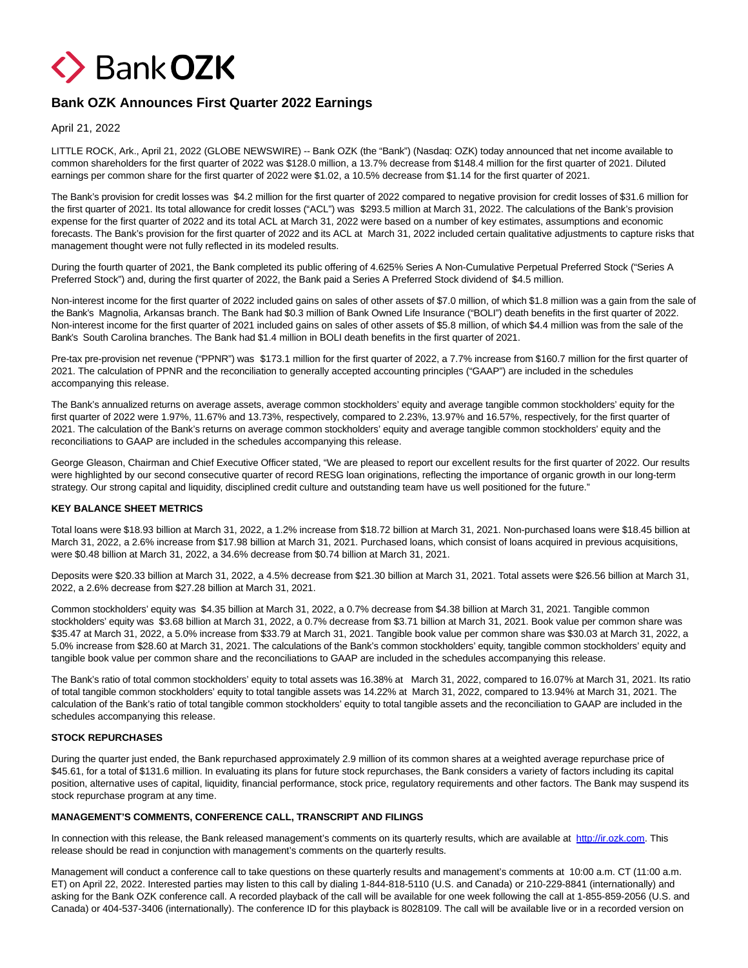

# **Bank OZK Announces First Quarter 2022 Earnings**

April 21, 2022

LITTLE ROCK, Ark., April 21, 2022 (GLOBE NEWSWIRE) -- Bank OZK (the "Bank") (Nasdaq: OZK) today announced that net income available to common shareholders for the first quarter of 2022 was \$128.0 million, a 13.7% decrease from \$148.4 million for the first quarter of 2021. Diluted earnings per common share for the first quarter of 2022 were \$1.02, a 10.5% decrease from \$1.14 for the first quarter of 2021.

The Bank's provision for credit losses was \$4.2 million for the first quarter of 2022 compared to negative provision for credit losses of \$31.6 million for the first quarter of 2021. Its total allowance for credit losses ("ACL") was \$293.5 million at March 31, 2022. The calculations of the Bank's provision expense for the first quarter of 2022 and its total ACL at March 31, 2022 were based on a number of key estimates, assumptions and economic forecasts. The Bank's provision for the first quarter of 2022 and its ACL at March 31, 2022 included certain qualitative adjustments to capture risks that management thought were not fully reflected in its modeled results.

During the fourth quarter of 2021, the Bank completed its public offering of 4.625% Series A Non-Cumulative Perpetual Preferred Stock ("Series A Preferred Stock") and, during the first quarter of 2022, the Bank paid a Series A Preferred Stock dividend of \$4.5 million.

Non-interest income for the first quarter of 2022 included gains on sales of other assets of \$7.0 million, of which \$1.8 million was a gain from the sale of the Bank's Magnolia, Arkansas branch. The Bank had \$0.3 million of Bank Owned Life Insurance ("BOLI") death benefits in the first quarter of 2022. Non-interest income for the first quarter of 2021 included gains on sales of other assets of \$5.8 million, of which \$4.4 million was from the sale of the Bank's South Carolina branches. The Bank had \$1.4 million in BOLI death benefits in the first quarter of 2021.

Pre-tax pre-provision net revenue ("PPNR") was \$173.1 million for the first quarter of 2022, a 7.7% increase from \$160.7 million for the first quarter of 2021. The calculation of PPNR and the reconciliation to generally accepted accounting principles ("GAAP") are included in the schedules accompanying this release.

The Bank's annualized returns on average assets, average common stockholders' equity and average tangible common stockholders' equity for the first quarter of 2022 were 1.97%, 11.67% and 13.73%, respectively, compared to 2.23%, 13.97% and 16.57%, respectively, for the first quarter of 2021. The calculation of the Bank's returns on average common stockholders' equity and average tangible common stockholders' equity and the reconciliations to GAAP are included in the schedules accompanying this release.

George Gleason, Chairman and Chief Executive Officer stated, "We are pleased to report our excellent results for the first quarter of 2022. Our results were highlighted by our second consecutive quarter of record RESG loan originations, reflecting the importance of organic growth in our long-term strategy. Our strong capital and liquidity, disciplined credit culture and outstanding team have us well positioned for the future."

# **KEY BALANCE SHEET METRICS**

Total loans were \$18.93 billion at March 31, 2022, a 1.2% increase from \$18.72 billion at March 31, 2021. Non-purchased loans were \$18.45 billion at March 31, 2022, a 2.6% increase from \$17.98 billion at March 31, 2021. Purchased loans, which consist of loans acquired in previous acquisitions, were \$0.48 billion at March 31, 2022, a 34.6% decrease from \$0.74 billion at March 31, 2021.

Deposits were \$20.33 billion at March 31, 2022, a 4.5% decrease from \$21.30 billion at March 31, 2021. Total assets were \$26.56 billion at March 31, 2022, a 2.6% decrease from \$27.28 billion at March 31, 2021.

Common stockholders' equity was \$4.35 billion at March 31, 2022, a 0.7% decrease from \$4.38 billion at March 31, 2021. Tangible common stockholders' equity was \$3.68 billion at March 31, 2022, a 0.7% decrease from \$3.71 billion at March 31, 2021. Book value per common share was \$35.47 at March 31, 2022, a 5.0% increase from \$33.79 at March 31, 2021. Tangible book value per common share was \$30.03 at March 31, 2022, a 5.0% increase from \$28.60 at March 31, 2021. The calculations of the Bank's common stockholders' equity, tangible common stockholders' equity and tangible book value per common share and the reconciliations to GAAP are included in the schedules accompanying this release.

The Bank's ratio of total common stockholders' equity to total assets was 16.38% at March 31, 2022, compared to 16.07% at March 31, 2021. Its ratio of total tangible common stockholders' equity to total tangible assets was 14.22% at March 31, 2022, compared to 13.94% at March 31, 2021. The calculation of the Bank's ratio of total tangible common stockholders' equity to total tangible assets and the reconciliation to GAAP are included in the schedules accompanying this release.

#### **STOCK REPURCHASES**

During the quarter just ended, the Bank repurchased approximately 2.9 million of its common shares at a weighted average repurchase price of \$45.61, for a total of \$131.6 million. In evaluating its plans for future stock repurchases, the Bank considers a variety of factors including its capital position, alternative uses of capital, liquidity, financial performance, stock price, regulatory requirements and other factors. The Bank may suspend its stock repurchase program at any time.

## **MANAGEMENT'S COMMENTS, CONFERENCE CALL, TRANSCRIPT AND FILINGS**

In connection with this release, the Bank released management's comments on its quarterly results, which are available at [http://ir.ozk.com.](https://www.globenewswire.com/Tracker?data=CWPwwm45RyvXK3ubeMMYSlJhHNxrSrf2PndmVO4LlayCbZa2skpvrVqcQgsqPIJeKtYqvfwtGxtRNXENPcGA3A==) This release should be read in conjunction with management's comments on the quarterly results.

Management will conduct a conference call to take questions on these quarterly results and management's comments at 10:00 a.m. CT (11:00 a.m. ET) on April 22, 2022. Interested parties may listen to this call by dialing 1-844-818-5110 (U.S. and Canada) or 210-229-8841 (internationally) and asking for the Bank OZK conference call. A recorded playback of the call will be available for one week following the call at 1-855-859-2056 (U.S. and Canada) or 404-537-3406 (internationally). The conference ID for this playback is 8028109. The call will be available live or in a recorded version on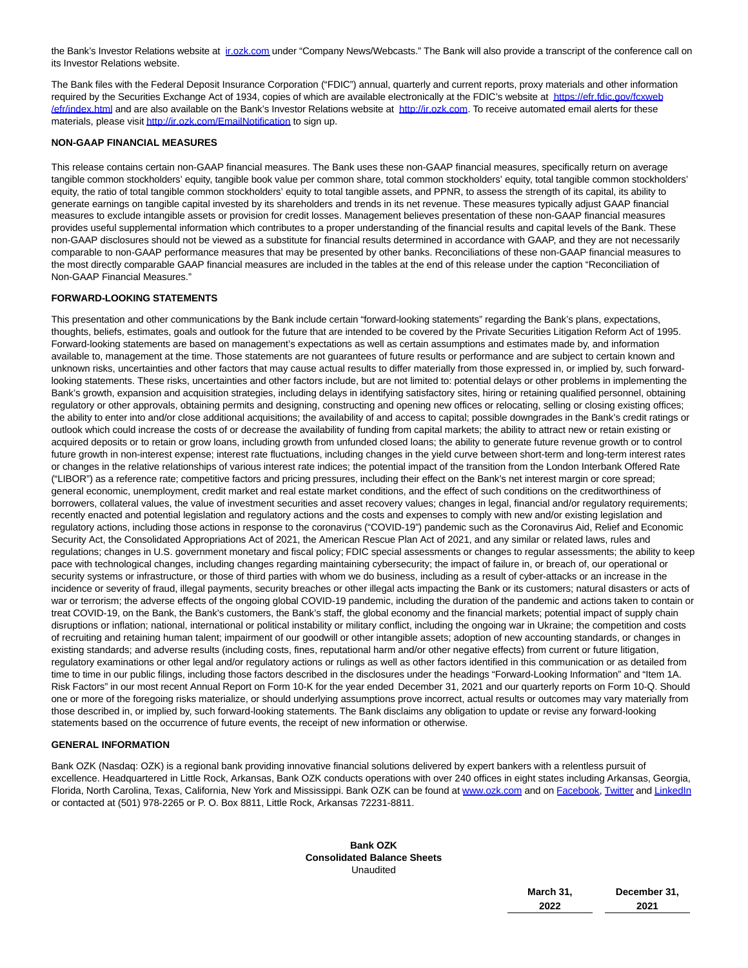the Bank's Investor Relations website at [ir.ozk.com u](https://www.globenewswire.com/Tracker?data=o7Ih0Am5pd8AvW9rqyO0Il4Wk4WyAluSrGBBTh57sEcsXlINc3V765jGj1YoUJB1SLnTSzJC9MfcUqYzJ0japQ==)nder "Company News/Webcasts." The Bank will also provide a transcript of the conference call on its Investor Relations website.

The Bank files with the Federal Deposit Insurance Corporation ("FDIC") annual, quarterly and current reports, proxy materials and other information required by the Securities Exchange Act of 1934, copies of which are available electronically at the FDIC's website at [https://efr.fdic.gov/fcxweb](https://www.globenewswire.com/Tracker?data=Dfi8Bn12WTmhFTRn7ttZnYMbqXuJWmiHYyqGT7lobCw2bRuoB7_6zwA_dVjKLYJxylzvguzZsD-bPAn19fKxjzy6NxUwGevgC9u3Lnl7hqOoa4m5BmODGyqmiTo52Bce8LVGU-1mw-8TEwLDbfulFA==) /efr/index.html and are also available on the Bank's Investor Relations website at [http://ir.ozk.com.](https://www.globenewswire.com/Tracker?data=CWPwwm45RyvXK3ubeMMYSiNgPOLXZWFU09MqVNvRojIvBNnfTxO6kT4cxWinkqnlrBHiWmi45iPzheNQoeZJRQ==) To receive automated email alerts for these materials, please visi[t http://ir.ozk.com/EmailNotification t](https://www.globenewswire.com/Tracker?data=CWPwwm45RyvXK3ubeMMYSvhsyqdAiowYDkMQmpSKRYTpnnRaDaZ-_IRDL3MYujvorF5iI5pgveaG_ChjjAdeJpTDyoIfqeohtfcr64idZzt77maSJjWllEr7AivsdoUU)o sign up.

# **NON-GAAP FINANCIAL MEASURES**

This release contains certain non-GAAP financial measures. The Bank uses these non-GAAP financial measures, specifically return on average tangible common stockholders' equity, tangible book value per common share, total common stockholders' equity, total tangible common stockholders' equity, the ratio of total tangible common stockholders' equity to total tangible assets, and PPNR, to assess the strength of its capital, its ability to generate earnings on tangible capital invested by its shareholders and trends in its net revenue. These measures typically adjust GAAP financial measures to exclude intangible assets or provision for credit losses. Management believes presentation of these non-GAAP financial measures provides useful supplemental information which contributes to a proper understanding of the financial results and capital levels of the Bank. These non-GAAP disclosures should not be viewed as a substitute for financial results determined in accordance with GAAP, and they are not necessarily comparable to non-GAAP performance measures that may be presented by other banks. Reconciliations of these non-GAAP financial measures to the most directly comparable GAAP financial measures are included in the tables at the end of this release under the caption "Reconciliation of Non-GAAP Financial Measures."

#### **FORWARD-LOOKING STATEMENTS**

This presentation and other communications by the Bank include certain "forward-looking statements" regarding the Bank's plans, expectations, thoughts, beliefs, estimates, goals and outlook for the future that are intended to be covered by the Private Securities Litigation Reform Act of 1995. Forward-looking statements are based on management's expectations as well as certain assumptions and estimates made by, and information available to, management at the time. Those statements are not guarantees of future results or performance and are subject to certain known and unknown risks, uncertainties and other factors that may cause actual results to differ materially from those expressed in, or implied by, such forwardlooking statements. These risks, uncertainties and other factors include, but are not limited to: potential delays or other problems in implementing the Bank's growth, expansion and acquisition strategies, including delays in identifying satisfactory sites, hiring or retaining qualified personnel, obtaining regulatory or other approvals, obtaining permits and designing, constructing and opening new offices or relocating, selling or closing existing offices; the ability to enter into and/or close additional acquisitions; the availability of and access to capital; possible downgrades in the Bank's credit ratings or outlook which could increase the costs of or decrease the availability of funding from capital markets; the ability to attract new or retain existing or acquired deposits or to retain or grow loans, including growth from unfunded closed loans; the ability to generate future revenue growth or to control future growth in non-interest expense; interest rate fluctuations, including changes in the yield curve between short-term and long-term interest rates or changes in the relative relationships of various interest rate indices; the potential impact of the transition from the London Interbank Offered Rate ("LIBOR") as a reference rate; competitive factors and pricing pressures, including their effect on the Bank's net interest margin or core spread; general economic, unemployment, credit market and real estate market conditions, and the effect of such conditions on the creditworthiness of borrowers, collateral values, the value of investment securities and asset recovery values; changes in legal, financial and/or regulatory requirements; recently enacted and potential legislation and regulatory actions and the costs and expenses to comply with new and/or existing legislation and regulatory actions, including those actions in response to the coronavirus ("COVID-19") pandemic such as the Coronavirus Aid, Relief and Economic Security Act, the Consolidated Appropriations Act of 2021, the American Rescue Plan Act of 2021, and any similar or related laws, rules and regulations; changes in U.S. government monetary and fiscal policy; FDIC special assessments or changes to regular assessments; the ability to keep pace with technological changes, including changes regarding maintaining cybersecurity; the impact of failure in, or breach of, our operational or security systems or infrastructure, or those of third parties with whom we do business, including as a result of cyber-attacks or an increase in the incidence or severity of fraud, illegal payments, security breaches or other illegal acts impacting the Bank or its customers; natural disasters or acts of war or terrorism; the adverse effects of the ongoing global COVID-19 pandemic, including the duration of the pandemic and actions taken to contain or treat COVID-19, on the Bank, the Bank's customers, the Bank's staff, the global economy and the financial markets; potential impact of supply chain disruptions or inflation; national, international or political instability or military conflict, including the ongoing war in Ukraine; the competition and costs of recruiting and retaining human talent; impairment of our goodwill or other intangible assets; adoption of new accounting standards, or changes in existing standards; and adverse results (including costs, fines, reputational harm and/or other negative effects) from current or future litigation, regulatory examinations or other legal and/or regulatory actions or rulings as well as other factors identified in this communication or as detailed from time to time in our public filings, including those factors described in the disclosures under the headings "Forward-Looking Information" and "Item 1A. Risk Factors" in our most recent Annual Report on Form 10-K for the year ended December 31, 2021 and our quarterly reports on Form 10-Q. Should one or more of the foregoing risks materialize, or should underlying assumptions prove incorrect, actual results or outcomes may vary materially from those described in, or implied by, such forward-looking statements. The Bank disclaims any obligation to update or revise any forward-looking statements based on the occurrence of future events, the receipt of new information or otherwise.

## **GENERAL INFORMATION**

Bank OZK (Nasdaq: OZK) is a regional bank providing innovative financial solutions delivered by expert bankers with a relentless pursuit of excellence. Headquartered in Little Rock, Arkansas, Bank OZK conducts operations with over 240 offices in eight states including Arkansas, Georgia, Florida, North Carolina, Texas, California, New York and Mississippi. Bank OZK can be found at [www.ozk.com a](https://www.globenewswire.com/Tracker?data=ldO8ns3xvhBmcTuIe4iO0GP2ck_f9wlf-aSRaKIYLr51YBv0DZhlpx9CjuJcQlMaDdjAgp4c-GEeyoWHNFF-RQ==)nd on [Facebook,](https://www.globenewswire.com/Tracker?data=AxKcn8iBToLWOVR184AWDLDtc7nvdxwkbgKn41Tu2z4eYxcunwsux1P-o20HOTCyedJf1FoTZ-leGAYFVjYVvw==) [Twitter a](https://www.globenewswire.com/Tracker?data=rA-3-N4Lsrs38WDEzLzAoYkFq2zKubFR15ddSlruKEKi0mCfC6VMKr4aMynAZfKVybCuN-gGiu35oYXYFUcdPgmoXUobQ-U9pXI6RtoOHNs=)nd [LinkedIn](https://www.globenewswire.com/Tracker?data=aeM-a3fG9uXj3lWfoaHBslZgcStOKviHXWmZKQ_K-6GWjkNK1e6d5nu8spomWLaBHRHtJcCJGx6W3tihHZ6DYPwt-25s38nxUY4nlFM0FqY=) or contacted at (501) 978-2265 or P. O. Box 8811, Little Rock, Arkansas 72231-8811.

# **Bank OZK Consolidated Balance Sheets** Unaudited

| March 31, | December 31, |
|-----------|--------------|
| 2022      | 2021         |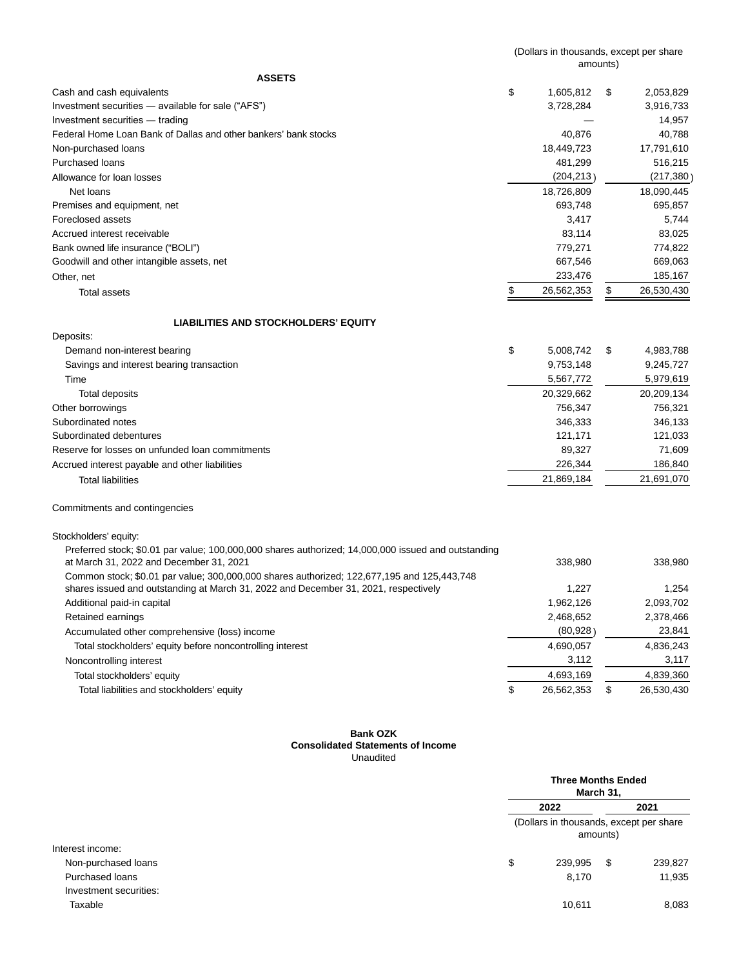|                                                                                                     | (Dollars in thousands, except per share<br>amounts) |                  |
|-----------------------------------------------------------------------------------------------------|-----------------------------------------------------|------------------|
| <b>ASSETS</b>                                                                                       |                                                     |                  |
| Cash and cash equivalents                                                                           | \$<br>1,605,812                                     | \$<br>2,053,829  |
| Investment securities - available for sale ("AFS")                                                  | 3,728,284                                           | 3,916,733        |
| Investment securities - trading                                                                     |                                                     | 14,957           |
| Federal Home Loan Bank of Dallas and other bankers' bank stocks                                     | 40,876                                              | 40,788           |
| Non-purchased loans                                                                                 | 18,449,723                                          | 17,791,610       |
| Purchased loans                                                                                     | 481,299                                             | 516,215          |
| Allowance for loan losses                                                                           | (204, 213)                                          | (217, 380)       |
| Net loans                                                                                           | 18,726,809                                          | 18,090,445       |
| Premises and equipment, net                                                                         | 693.748                                             | 695,857          |
| Foreclosed assets                                                                                   | 3,417                                               | 5,744            |
| Accrued interest receivable                                                                         | 83,114                                              | 83,025           |
| Bank owned life insurance ("BOLI")                                                                  | 779,271                                             | 774,822          |
| Goodwill and other intangible assets, net                                                           | 667,546                                             | 669,063          |
| Other, net                                                                                          | 233,476                                             | 185,167          |
| <b>Total assets</b>                                                                                 | \$<br>26,562,353                                    | \$<br>26,530,430 |
| <b>LIABILITIES AND STOCKHOLDERS' EQUITY</b>                                                         |                                                     |                  |
| Deposits:                                                                                           |                                                     |                  |
| Demand non-interest bearing                                                                         | \$<br>5,008,742                                     | \$<br>4,983,788  |
| Savings and interest bearing transaction                                                            | 9,753,148                                           | 9,245,727        |
| Time                                                                                                | 5,567,772                                           | 5,979,619        |
| Total deposits                                                                                      | 20,329,662                                          | 20,209,134       |
| Other borrowings                                                                                    | 756,347                                             | 756,321          |
| Subordinated notes                                                                                  | 346,333                                             | 346,133          |
| Subordinated debentures                                                                             | 121,171                                             | 121,033          |
| Reserve for losses on unfunded loan commitments                                                     | 89,327                                              | 71,609           |
| Accrued interest payable and other liabilities                                                      | 226,344                                             | 186,840          |
|                                                                                                     | 21,869,184                                          | 21,691,070       |
| <b>Total liabilities</b>                                                                            |                                                     |                  |
| Commitments and contingencies                                                                       |                                                     |                  |
| Stockholders' equity:                                                                               |                                                     |                  |
| Preferred stock; \$0.01 par value; 100,000,000 shares authorized; 14,000,000 issued and outstanding |                                                     |                  |
| at March 31, 2022 and December 31, 2021                                                             | 338,980                                             | 338,980          |
| Common stock; \$0.01 par value; 300,000,000 shares authorized; 122,677,195 and 125,443,748          |                                                     |                  |
| shares issued and outstanding at March 31, 2022 and December 31, 2021, respectively                 | 1,227                                               | 1,254            |
| Additional paid-in capital                                                                          | 1,962,126                                           | 2,093,702        |
| Retained earnings                                                                                   | 2,468,652                                           | 2,378,466        |
| Accumulated other comprehensive (loss) income                                                       | (80, 928)                                           | 23,841           |
| Total stockholders' equity before noncontrolling interest                                           | 4,690,057                                           | 4,836,243        |
| Noncontrolling interest                                                                             | 3,112                                               | 3,117            |
| Total stockholders' equity                                                                          | 4,693,169                                           | 4,839,360        |
| Total liabilities and stockholders' equity                                                          | \$<br>26,562,353                                    | \$<br>26,530,430 |

# **Bank OZK Consolidated Statements of Income** Unaudited

|                        | <b>Three Months Ended</b>               | March 31, |         |
|------------------------|-----------------------------------------|-----------|---------|
|                        | 2022                                    |           | 2021    |
|                        | (Dollars in thousands, except per share | amounts)  |         |
| Interest income:       |                                         |           |         |
| Non-purchased loans    | \$<br>239,995                           | S         | 239,827 |
| Purchased loans        | 8,170                                   |           | 11,935  |
| Investment securities: |                                         |           |         |
| Taxable                | 10,611                                  |           | 8,083   |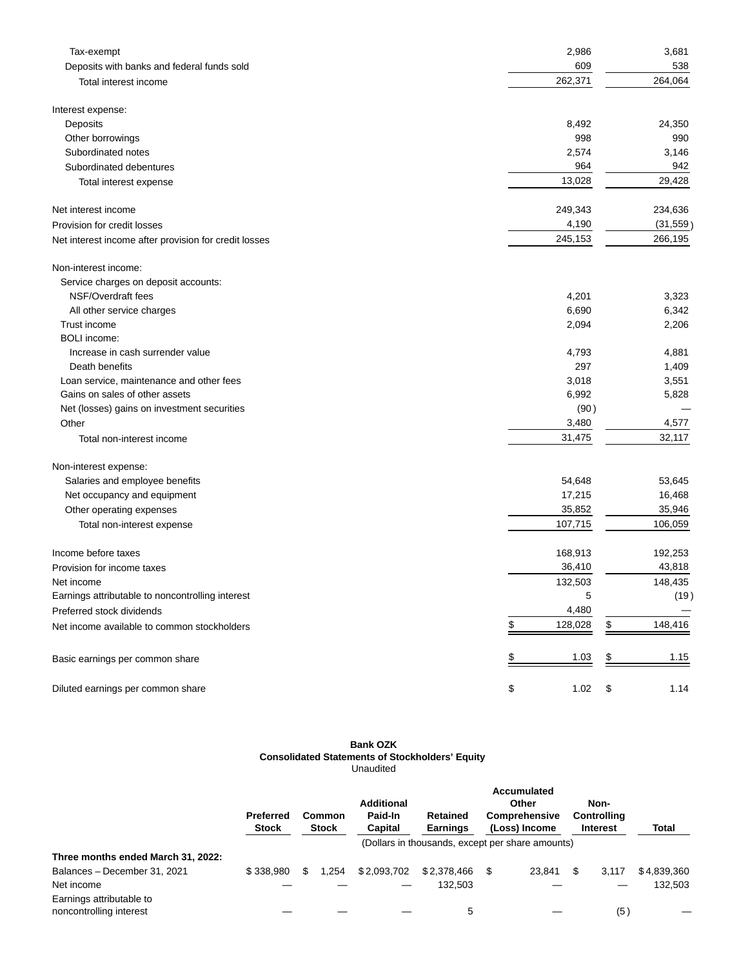| Tax-exempt                                            | 2,986         | 3,681         |
|-------------------------------------------------------|---------------|---------------|
| Deposits with banks and federal funds sold            | 609           | 538           |
| Total interest income                                 | 262,371       | 264,064       |
| Interest expense:                                     |               |               |
| Deposits                                              | 8,492         | 24,350        |
| Other borrowings                                      | 998           | 990           |
| Subordinated notes                                    | 2,574         | 3,146         |
| Subordinated debentures                               | 964           | 942           |
| Total interest expense                                | 13,028        | 29,428        |
| Net interest income                                   | 249,343       | 234,636       |
| Provision for credit losses                           | 4,190         | (31, 559)     |
| Net interest income after provision for credit losses | 245,153       | 266,195       |
| Non-interest income:                                  |               |               |
| Service charges on deposit accounts:                  |               |               |
| NSF/Overdraft fees                                    | 4,201         | 3,323         |
| All other service charges                             | 6,690         | 6,342         |
| Trust income                                          | 2,094         | 2,206         |
| <b>BOLI</b> income:                                   |               |               |
| Increase in cash surrender value                      | 4,793         | 4,881         |
| Death benefits                                        | 297           | 1,409         |
| Loan service, maintenance and other fees              | 3,018         | 3,551         |
| Gains on sales of other assets                        | 6,992         | 5,828         |
| Net (losses) gains on investment securities           | (90)          |               |
| Other                                                 | 3,480         | 4,577         |
| Total non-interest income                             | 31,475        | 32,117        |
| Non-interest expense:                                 |               |               |
| Salaries and employee benefits                        | 54,648        | 53,645        |
| Net occupancy and equipment                           | 17,215        | 16,468        |
| Other operating expenses                              | 35,852        | 35,946        |
| Total non-interest expense                            | 107,715       | 106,059       |
| Income before taxes                                   | 168,913       | 192,253       |
| Provision for income taxes                            | 36,410        | 43,818        |
| Net income                                            | 132,503       | 148,435       |
| Earnings attributable to noncontrolling interest      | 5             | (19)          |
| Preferred stock dividends                             | 4,480         |               |
| Net income available to common stockholders           | \$<br>128,028 | \$<br>148,416 |
| Basic earnings per common share                       | 1.03<br>\$    | \$<br>1.15    |
| Diluted earnings per common share                     | \$<br>1.02    | \$<br>1.14    |
|                                                       |               |               |

#### **Bank OZK Consolidated Statements of Stockholders' Equity** Unaudited

|                                                     | <b>Preferred</b><br><b>Stock</b> | Common<br><b>Stock</b> | <b>Additional</b><br>Paid-In<br>Capital | <b>Retained</b><br><b>Earnings</b> | Accumulated<br>Other<br>Comprehensive<br>(Loss) Income | Non-<br>Controlling<br><b>Interest</b> | Total       |
|-----------------------------------------------------|----------------------------------|------------------------|-----------------------------------------|------------------------------------|--------------------------------------------------------|----------------------------------------|-------------|
|                                                     |                                  |                        |                                         |                                    | (Dollars in thousands, except per share amounts)       |                                        |             |
| Three months ended March 31, 2022:                  |                                  |                        |                                         |                                    |                                                        |                                        |             |
| Balances - December 31, 2021                        | \$338.980                        | 1.254                  | \$2,093,702                             | \$2,378,466                        | 23.841                                                 | 3.117                                  | \$4,839,360 |
| Net income                                          |                                  |                        |                                         | 132,503                            |                                                        |                                        | 132,503     |
| Earnings attributable to<br>noncontrolling interest |                                  |                        |                                         | 5                                  |                                                        | (5)                                    |             |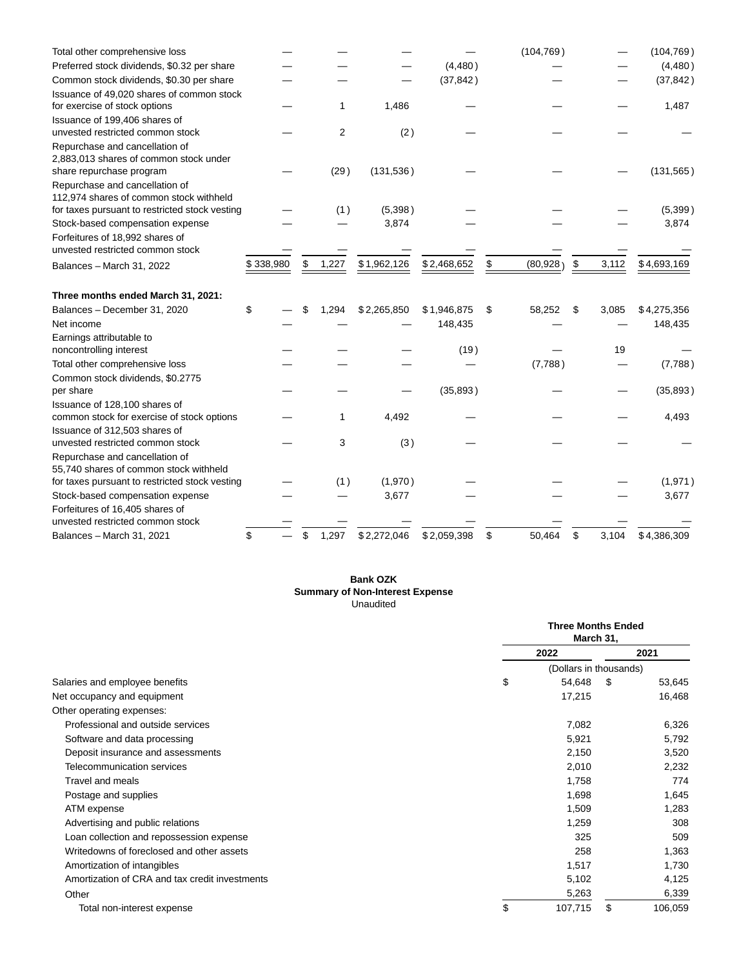| Total other comprehensive loss                 |           |             |             |             | (104, 769)      |             | (104, 769)  |
|------------------------------------------------|-----------|-------------|-------------|-------------|-----------------|-------------|-------------|
| Preferred stock dividends, \$0.32 per share    |           |             |             | (4, 480)    |                 |             | (4, 480)    |
| Common stock dividends, \$0.30 per share       |           |             |             | (37, 842)   |                 |             | (37, 842)   |
| Issuance of 49,020 shares of common stock      |           |             |             |             |                 |             |             |
| for exercise of stock options                  |           | 1           | 1,486       |             |                 |             | 1,487       |
| Issuance of 199,406 shares of                  |           |             |             |             |                 |             |             |
| unvested restricted common stock               |           | 2           | (2)         |             |                 |             |             |
| Repurchase and cancellation of                 |           |             |             |             |                 |             |             |
| 2,883,013 shares of common stock under         |           |             |             |             |                 |             |             |
| share repurchase program                       |           | (29)        | (131, 536)  |             |                 |             | (131, 565)  |
| Repurchase and cancellation of                 |           |             |             |             |                 |             |             |
| 112,974 shares of common stock withheld        |           |             |             |             |                 |             |             |
| for taxes pursuant to restricted stock vesting |           | (1)         | (5,398)     |             |                 |             | (5, 399)    |
| Stock-based compensation expense               |           |             | 3,874       |             |                 |             | 3,874       |
| Forfeitures of 18,992 shares of                |           |             |             |             |                 |             |             |
| unvested restricted common stock               |           |             |             |             |                 |             |             |
| Balances - March 31, 2022                      | \$338,980 | \$<br>1,227 | \$1,962,126 | \$2,468,652 | \$<br>(80, 928) | \$<br>3,112 | \$4,693,169 |
| Three months ended March 31, 2021:             |           |             |             |             |                 |             |             |
| Balances - December 31, 2020                   | \$        | \$<br>1,294 | \$2,265,850 | \$1,946,875 | 58,252<br>\$    | \$<br>3,085 | \$4,275,356 |
| Net income                                     |           |             |             | 148,435     |                 |             | 148,435     |
| Earnings attributable to                       |           |             |             |             |                 |             |             |
| noncontrolling interest                        |           |             |             | (19)        |                 | 19          |             |
| Total other comprehensive loss                 |           |             |             |             | (7,788)         |             | (7,788)     |
| Common stock dividends, \$0.2775               |           |             |             |             |                 |             |             |
| per share                                      |           |             |             | (35, 893)   |                 |             | (35, 893)   |
| Issuance of 128,100 shares of                  |           |             |             |             |                 |             |             |
| common stock for exercise of stock options     |           | 1           | 4,492       |             |                 |             | 4,493       |
| Issuance of 312,503 shares of                  |           |             |             |             |                 |             |             |
| unvested restricted common stock               |           | 3           | (3)         |             |                 |             |             |
| Repurchase and cancellation of                 |           |             |             |             |                 |             |             |
| 55,740 shares of common stock withheld         |           |             |             |             |                 |             |             |
| for taxes pursuant to restricted stock vesting |           | (1)         | (1,970)     |             |                 |             | (1,971)     |
| Stock-based compensation expense               |           |             | 3,677       |             |                 |             | 3,677       |
| Forfeitures of 16,405 shares of                |           |             |             |             |                 |             |             |
| unvested restricted common stock               |           |             |             |             |                 |             |             |
| Balances - March 31, 2021                      | \$        | \$<br>1,297 | \$2,272,046 | \$2,059,398 | \$<br>50,464    | \$<br>3,104 | \$4,386,309 |

# **Bank OZK Summary of Non-Interest Expense** Unaudited

|                                                | <b>Three Months Ended</b><br>March 31, |      |         |  |  |
|------------------------------------------------|----------------------------------------|------|---------|--|--|
|                                                | 2022                                   |      |         |  |  |
|                                                | (Dollars in thousands)                 |      |         |  |  |
| Salaries and employee benefits                 | \$<br>54,648                           | - \$ | 53,645  |  |  |
| Net occupancy and equipment                    | 17,215                                 |      | 16,468  |  |  |
| Other operating expenses:                      |                                        |      |         |  |  |
| Professional and outside services              | 7,082                                  |      | 6,326   |  |  |
| Software and data processing                   | 5,921                                  |      | 5,792   |  |  |
| Deposit insurance and assessments              | 2,150                                  |      | 3,520   |  |  |
| Telecommunication services                     | 2,010                                  |      | 2,232   |  |  |
| Travel and meals                               | 1,758                                  |      | 774     |  |  |
| Postage and supplies                           | 1,698                                  |      | 1,645   |  |  |
| ATM expense                                    | 1,509                                  |      | 1,283   |  |  |
| Advertising and public relations               | 1,259                                  |      | 308     |  |  |
| Loan collection and repossession expense       | 325                                    |      | 509     |  |  |
| Writedowns of foreclosed and other assets      | 258                                    |      | 1,363   |  |  |
| Amortization of intangibles                    | 1,517                                  |      | 1,730   |  |  |
| Amortization of CRA and tax credit investments | 5,102                                  |      | 4,125   |  |  |
| Other                                          | 5,263                                  |      | 6,339   |  |  |
| Total non-interest expense                     | \$<br>107,715                          | \$   | 106,059 |  |  |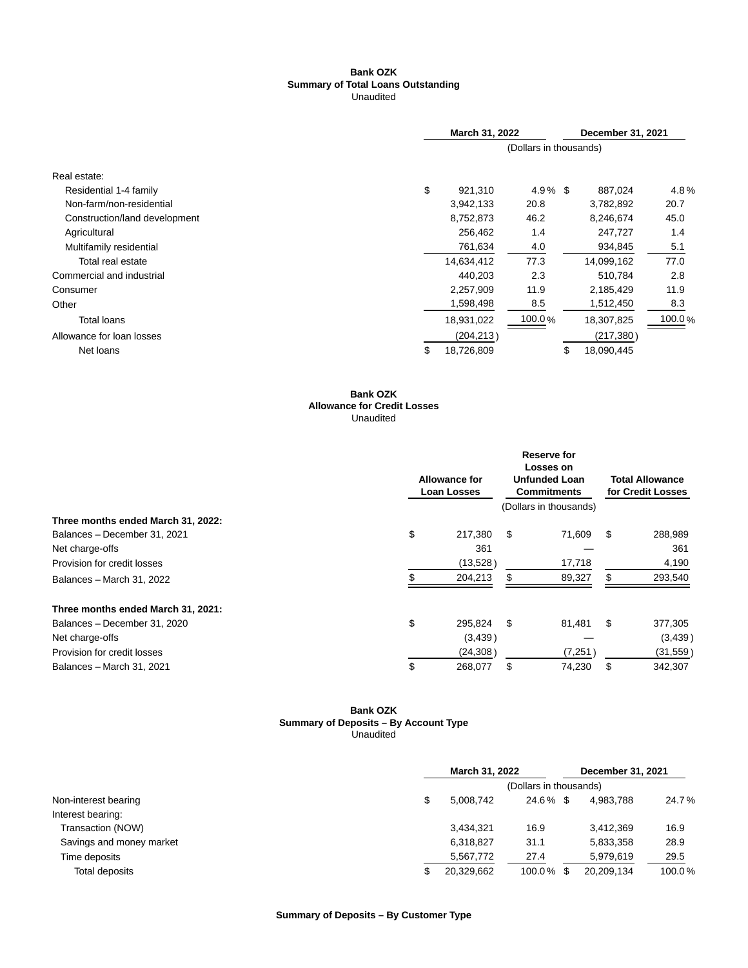## **Bank OZK Summary of Total Loans Outstanding** Unaudited

|                               | March 31, 2022 |            |                        | December 31, 2021 |        |  |
|-------------------------------|----------------|------------|------------------------|-------------------|--------|--|
|                               |                |            | (Dollars in thousands) |                   |        |  |
| Real estate:                  |                |            |                        |                   |        |  |
| Residential 1-4 family        | \$             | 921,310    | $4.9\%$ \$             | 887,024           | 4.8%   |  |
| Non-farm/non-residential      |                | 3,942,133  | 20.8                   | 3,782,892         | 20.7   |  |
| Construction/land development |                | 8,752,873  | 46.2                   | 8,246,674         | 45.0   |  |
| Agricultural                  |                | 256,462    | 1.4                    | 247,727           | 1.4    |  |
| Multifamily residential       |                | 761,634    | 4.0                    | 934,845           | 5.1    |  |
| Total real estate             |                | 14,634,412 | 77.3                   | 14,099,162        | 77.0   |  |
| Commercial and industrial     |                | 440,203    | 2.3                    | 510,784           | 2.8    |  |
| Consumer                      |                | 2,257,909  | 11.9                   | 2,185,429         | 11.9   |  |
| Other                         |                | 1,598,498  | 8.5                    | 1,512,450         | 8.3    |  |
| <b>Total loans</b>            |                | 18,931,022 | 100.0%                 | 18,307,825        | 100.0% |  |
| Allowance for loan losses     |                | (204, 213) |                        | (217, 380)        |        |  |
| Net loans                     | \$             | 18,726,809 |                        | \$<br>18,090,445  |        |  |

## **Bank OZK Allowance for Credit Losses** Unaudited

|                                    | <b>Allowance for</b><br>Loan Losses |           | <b>Reserve for</b><br>Losses on<br><b>Unfunded Loan</b><br><b>Commitments</b> | <b>Total Allowance</b><br>for Credit Losses |     |           |
|------------------------------------|-------------------------------------|-----------|-------------------------------------------------------------------------------|---------------------------------------------|-----|-----------|
|                                    |                                     |           |                                                                               | (Dollars in thousands)                      |     |           |
| Three months ended March 31, 2022: |                                     |           |                                                                               |                                             |     |           |
| Balances - December 31, 2021       | \$                                  | 217,380   | \$                                                                            | 71,609                                      | S   | 288,989   |
| Net charge-offs                    |                                     | 361       |                                                                               |                                             |     | 361       |
| Provision for credit losses        |                                     | (13,528)  |                                                                               | 17,718                                      |     | 4,190     |
| Balances - March 31, 2022          |                                     | 204,213   |                                                                               | 89,327                                      |     | 293,540   |
| Three months ended March 31, 2021: |                                     |           |                                                                               |                                             |     |           |
| Balances - December 31, 2020       | \$                                  | 295,824   | \$.                                                                           | 81,481                                      | \$. | 377,305   |
| Net charge-offs                    |                                     | (3,439)   |                                                                               |                                             |     | (3,439)   |
| Provision for credit losses        |                                     | (24, 308) |                                                                               | (7,251)                                     |     | (31, 559) |
| Balances - March 31, 2021          | \$                                  | 268.077   | \$                                                                            | 74,230                                      | \$  | 342,307   |

#### **Bank OZK Summary of Deposits – By Account Type** Unaudited

|                          | March 31, 2022 |                        | December 31, 2021 |        |
|--------------------------|----------------|------------------------|-------------------|--------|
|                          |                | (Dollars in thousands) |                   |        |
| Non-interest bearing     | 5,008,742      | $24.6\%$ \$            | 4.983.788         | 24.7%  |
| Interest bearing:        |                |                        |                   |        |
| Transaction (NOW)        | 3,434,321      | 16.9                   | 3.412.369         | 16.9   |
| Savings and money market | 6,318,827      | 31.1                   | 5,833,358         | 28.9   |
| Time deposits            | 5,567,772      | 27.4                   | 5.979.619         | 29.5   |
| Total deposits           | 20,329,662     | $100.0\%$ \$           | 20,209,134        | 100.0% |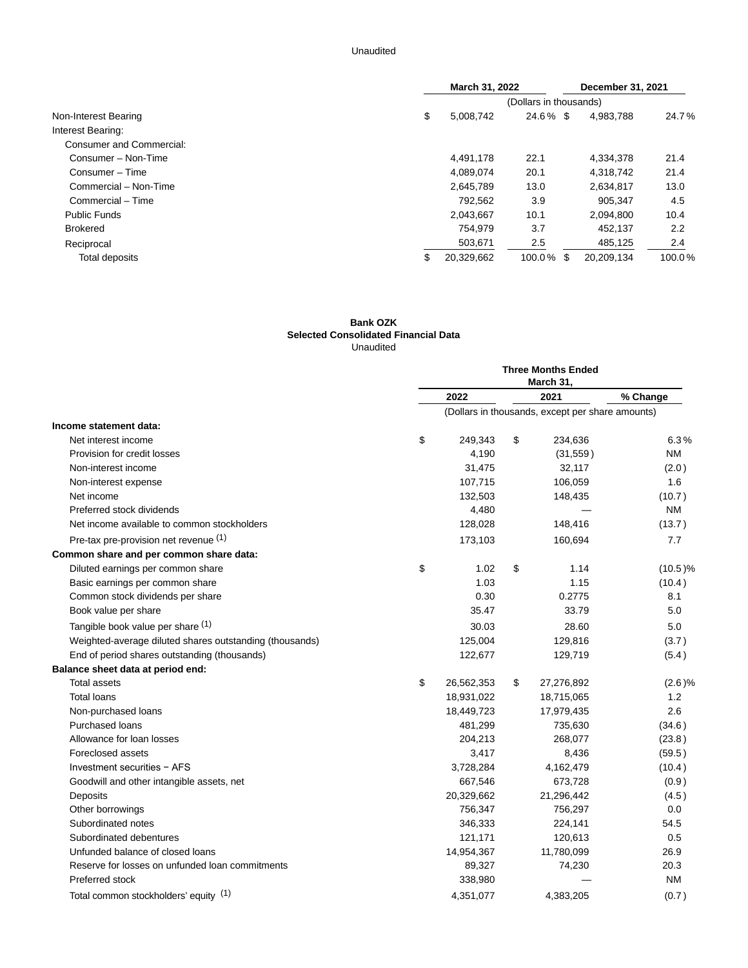# Unaudited

|                          | March 31, 2022         |            |              | December 31, 2021 |        |  |  |  |  |  |
|--------------------------|------------------------|------------|--------------|-------------------|--------|--|--|--|--|--|
|                          | (Dollars in thousands) |            |              |                   |        |  |  |  |  |  |
| Non-Interest Bearing     | \$                     | 5.008.742  | $24.6\%$ \$  | 4,983,788         | 24.7%  |  |  |  |  |  |
| Interest Bearing:        |                        |            |              |                   |        |  |  |  |  |  |
| Consumer and Commercial: |                        |            |              |                   |        |  |  |  |  |  |
| Consumer - Non-Time      |                        | 4,491,178  | 22.1         | 4.334.378         | 21.4   |  |  |  |  |  |
| Consumer - Time          |                        | 4.089.074  | 20.1         | 4.318.742         | 21.4   |  |  |  |  |  |
| Commercial - Non-Time    |                        | 2,645,789  | 13.0         | 2.634.817         | 13.0   |  |  |  |  |  |
| Commercial - Time        |                        | 792,562    | 3.9          | 905.347           | 4.5    |  |  |  |  |  |
| <b>Public Funds</b>      |                        | 2.043.667  | 10.1         | 2.094.800         | 10.4   |  |  |  |  |  |
| <b>Brokered</b>          |                        | 754.979    | 3.7          | 452.137           | 2.2    |  |  |  |  |  |
| Reciprocal               |                        | 503.671    | 2.5          | 485,125           | 2.4    |  |  |  |  |  |
| Total deposits           | £.                     | 20,329,662 | $100.0\%$ \$ | 20,209,134        | 100.0% |  |  |  |  |  |

# **Bank OZK Selected Consolidated Financial Data** Unaudited

|                                                         |    | 2022       | 2021                                             | % Change   |
|---------------------------------------------------------|----|------------|--------------------------------------------------|------------|
|                                                         |    |            | (Dollars in thousands, except per share amounts) |            |
| Income statement data:                                  |    |            |                                                  |            |
| Net interest income                                     | \$ | 249,343    | \$<br>234,636                                    | 6.3%       |
| Provision for credit losses                             |    | 4,190      | (31, 559)                                        | NM         |
| Non-interest income                                     |    | 31,475     | 32,117                                           | (2.0)      |
| Non-interest expense                                    |    | 107,715    | 106,059                                          | 1.6        |
| Net income                                              |    | 132,503    | 148,435                                          | (10.7)     |
| Preferred stock dividends                               |    | 4,480      |                                                  | <b>NM</b>  |
| Net income available to common stockholders             |    | 128,028    | 148,416                                          | (13.7)     |
| Pre-tax pre-provision net revenue (1)                   |    | 173,103    | 160,694                                          | 7.7        |
| Common share and per common share data:                 |    |            |                                                  |            |
| Diluted earnings per common share                       | \$ | 1.02       | \$<br>1.14                                       | $(10.5)\%$ |
| Basic earnings per common share                         |    | 1.03       | 1.15                                             | (10.4)     |
| Common stock dividends per share                        |    | 0.30       | 0.2775                                           | 8.1        |
| Book value per share                                    |    | 35.47      | 33.79                                            | 5.0        |
| Tangible book value per share (1)                       |    | 30.03      | 28.60                                            | 5.0        |
| Weighted-average diluted shares outstanding (thousands) |    | 125,004    | 129,816                                          | (3.7)      |
| End of period shares outstanding (thousands)            |    | 122,677    | 129,719                                          | (5.4)      |
| Balance sheet data at period end:                       |    |            |                                                  |            |
| <b>Total assets</b>                                     | \$ | 26,562,353 | \$<br>27,276,892                                 | (2.6)%     |
| <b>Total loans</b>                                      |    | 18,931,022 | 18,715,065                                       | 1.2        |
| Non-purchased loans                                     |    | 18,449,723 | 17,979,435                                       | 2.6        |
| Purchased loans                                         |    | 481,299    | 735,630                                          | (34.6)     |
| Allowance for loan losses                               |    | 204,213    | 268,077                                          | (23.8)     |
| Foreclosed assets                                       |    | 3,417      | 8,436                                            | (59.5)     |
| Investment securities - AFS                             |    | 3,728,284  | 4,162,479                                        | (10.4)     |
| Goodwill and other intangible assets, net               |    | 667,546    | 673,728                                          | (0.9)      |
| Deposits                                                |    | 20,329,662 | 21,296,442                                       | (4.5)      |
| Other borrowings                                        |    | 756,347    | 756,297                                          | 0.0        |
| Subordinated notes                                      |    | 346,333    | 224,141                                          | 54.5       |
| Subordinated debentures                                 |    | 121,171    | 120,613                                          | 0.5        |
| Unfunded balance of closed loans                        |    | 14,954,367 | 11,780,099                                       | 26.9       |
| Reserve for losses on unfunded loan commitments         |    | 89,327     | 74,230                                           | 20.3       |
| Preferred stock                                         |    | 338,980    |                                                  | <b>NM</b>  |
| Total common stockholders' equity (1)                   |    | 4,351,077  | 4,383,205                                        | (0.7)      |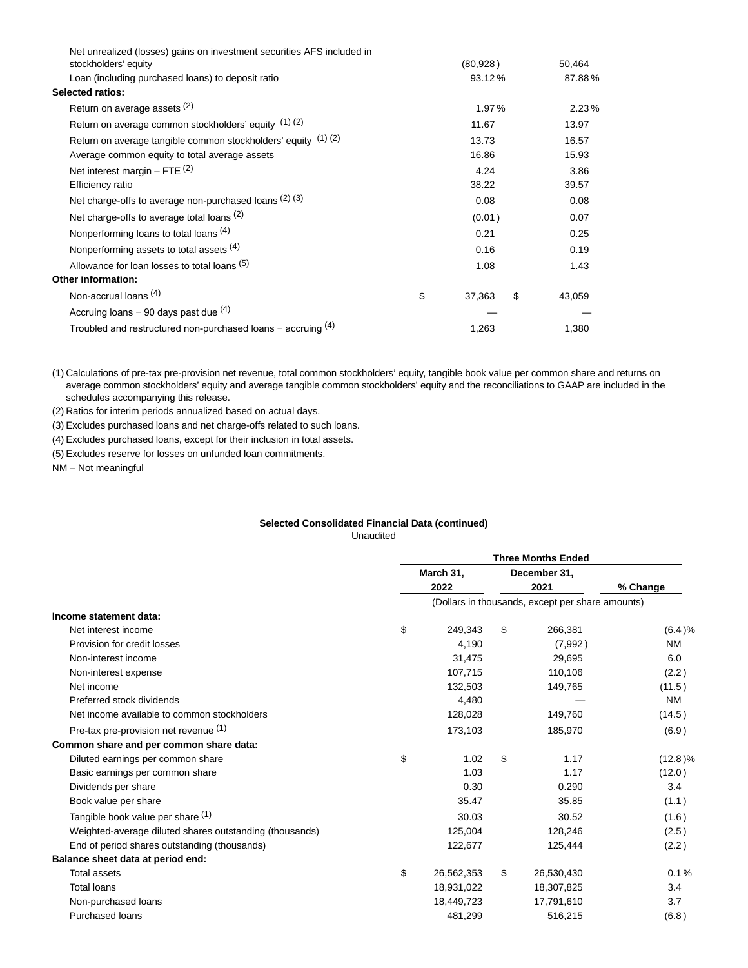| Net unrealized (losses) gains on investment securities AFS included in<br>stockholders' equity | (80,928)     | 50,464 |
|------------------------------------------------------------------------------------------------|--------------|--------|
| Loan (including purchased loans) to deposit ratio                                              | 93.12%       | 87.88% |
| <b>Selected ratios:</b>                                                                        |              |        |
| Return on average assets (2)                                                                   | 1.97%        | 2.23%  |
| Return on average common stockholders' equity (1)(2)                                           | 11.67        | 13.97  |
| Return on average tangible common stockholders' equity (1)(2)                                  | 13.73        | 16.57  |
| Average common equity to total average assets                                                  | 16.86        | 15.93  |
| Net interest margin $-$ FTE $(2)$                                                              | 4.24         | 3.86   |
| Efficiency ratio                                                                               | 38.22        | 39.57  |
| Net charge-offs to average non-purchased loans (2) (3)                                         | 0.08         | 0.08   |
| Net charge-offs to average total loans (2)                                                     | (0.01)       | 0.07   |
| Nonperforming loans to total loans (4)                                                         | 0.21         | 0.25   |
| Nonperforming assets to total assets (4)                                                       | 0.16         | 0.19   |
| Allowance for loan losses to total loans (5)                                                   | 1.08         | 1.43   |
| <b>Other information:</b>                                                                      |              |        |
| Non-accrual loans $(4)$<br>\$                                                                  | \$<br>37,363 | 43,059 |
| Accruing loans - 90 days past due $(4)$                                                        |              |        |
| Troubled and restructured non-purchased loans - accruing $(4)$                                 | 1,263        | 1,380  |

(1) Calculations of pre-tax pre-provision net revenue, total common stockholders' equity, tangible book value per common share and returns on average common stockholders' equity and average tangible common stockholders' equity and the reconciliations to GAAP are included in the schedules accompanying this release.

(2) Ratios for interim periods annualized based on actual days.

(3) Excludes purchased loans and net charge-offs related to such loans.

(4) Excludes purchased loans, except for their inclusion in total assets.

(5) Excludes reserve for losses on unfunded loan commitments.

NM – Not meaningful

#### **Selected Consolidated Financial Data (continued)** Unaudited

|                                                         | <b>Three Months Ended</b>                        |    |              |            |  |  |  |
|---------------------------------------------------------|--------------------------------------------------|----|--------------|------------|--|--|--|
|                                                         | March 31,                                        |    | December 31, |            |  |  |  |
|                                                         | 2022                                             |    | 2021         | % Change   |  |  |  |
|                                                         | (Dollars in thousands, except per share amounts) |    |              |            |  |  |  |
| Income statement data:                                  |                                                  |    |              |            |  |  |  |
| Net interest income                                     | \$<br>249,343                                    | \$ | 266,381      | (6.4)%     |  |  |  |
| Provision for credit losses                             | 4.190                                            |    | (7,992)      | <b>NM</b>  |  |  |  |
| Non-interest income                                     | 31,475                                           |    | 29,695       | 6.0        |  |  |  |
| Non-interest expense                                    | 107,715                                          |    | 110,106      | (2.2)      |  |  |  |
| Net income                                              | 132,503                                          |    | 149,765      | (11.5)     |  |  |  |
| Preferred stock dividends                               | 4,480                                            |    |              | <b>NM</b>  |  |  |  |
| Net income available to common stockholders             | 128,028                                          |    | 149,760      | (14.5)     |  |  |  |
| Pre-tax pre-provision net revenue (1)                   | 173,103                                          |    | 185,970      | (6.9)      |  |  |  |
| Common share and per common share data:                 |                                                  |    |              |            |  |  |  |
| Diluted earnings per common share                       | \$<br>1.02                                       | \$ | 1.17         | $(12.8)\%$ |  |  |  |
| Basic earnings per common share                         | 1.03                                             |    | 1.17         | (12.0)     |  |  |  |
| Dividends per share                                     | 0.30                                             |    | 0.290        | 3.4        |  |  |  |
| Book value per share                                    | 35.47                                            |    | 35.85        | (1.1)      |  |  |  |
| Tangible book value per share (1)                       | 30.03                                            |    | 30.52        | (1.6)      |  |  |  |
| Weighted-average diluted shares outstanding (thousands) | 125,004                                          |    | 128,246      | (2.5)      |  |  |  |
| End of period shares outstanding (thousands)            | 122,677                                          |    | 125,444      | (2.2)      |  |  |  |
| Balance sheet data at period end:                       |                                                  |    |              |            |  |  |  |
| <b>Total assets</b>                                     | \$<br>26,562,353                                 | \$ | 26,530,430   | 0.1%       |  |  |  |
| <b>Total loans</b>                                      | 18,931,022                                       |    | 18,307,825   | 3.4        |  |  |  |
| Non-purchased loans                                     | 18,449,723                                       |    | 17,791,610   | 3.7        |  |  |  |
| <b>Purchased loans</b>                                  | 481,299                                          |    | 516,215      | (6.8)      |  |  |  |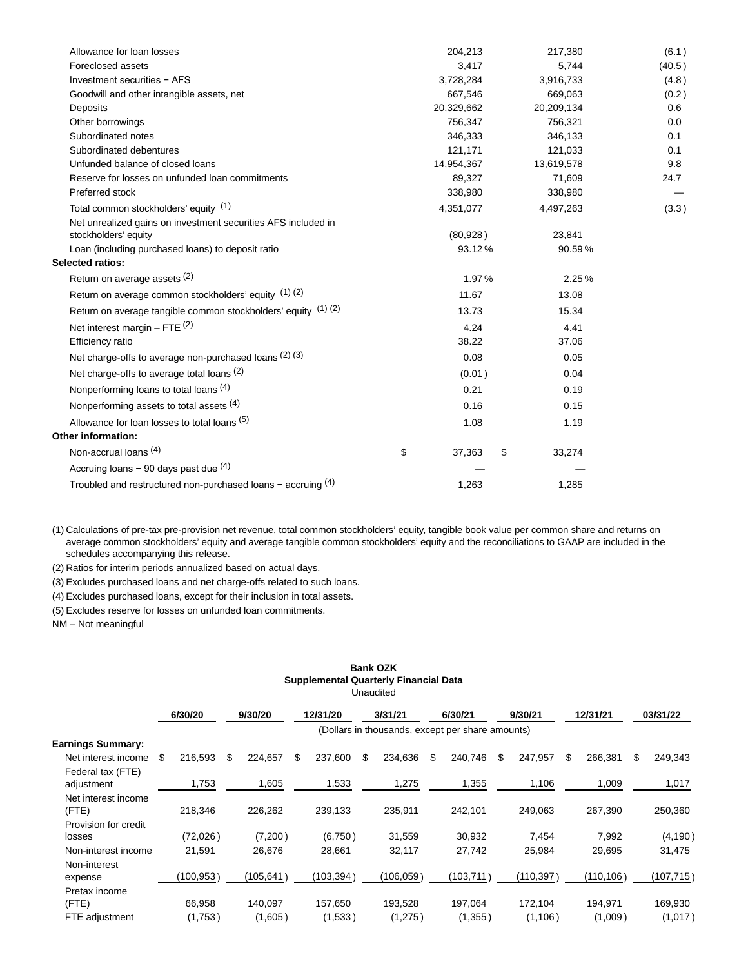| Allowance for loan losses                                                             | 204,213      | 217,380      | (6.1)  |
|---------------------------------------------------------------------------------------|--------------|--------------|--------|
| Foreclosed assets                                                                     | 3,417        | 5,744        | (40.5) |
| Investment securities - AFS                                                           | 3,728,284    | 3,916,733    | (4.8)  |
| Goodwill and other intangible assets, net                                             | 667,546      | 669,063      | (0.2)  |
| Deposits                                                                              | 20,329,662   | 20,209,134   | 0.6    |
| Other borrowings                                                                      | 756,347      | 756,321      | 0.0    |
| Subordinated notes                                                                    | 346,333      | 346,133      | 0.1    |
| Subordinated debentures                                                               | 121,171      | 121,033      | 0.1    |
| Unfunded balance of closed loans                                                      | 14,954,367   | 13,619,578   | 9.8    |
| Reserve for losses on unfunded loan commitments                                       | 89,327       | 71,609       | 24.7   |
| Preferred stock                                                                       | 338,980      | 338,980      |        |
| Total common stockholders' equity (1)                                                 | 4,351,077    | 4,497,263    | (3.3)  |
| Net unrealized gains on investment securities AFS included in<br>stockholders' equity | (80, 928)    | 23,841       |        |
| Loan (including purchased loans) to deposit ratio                                     | 93.12%       | 90.59%       |        |
| Selected ratios:                                                                      |              |              |        |
| Return on average assets (2)                                                          | 1.97%        | 2.25%        |        |
| Return on average common stockholders' equity (1)(2)                                  | 11.67        | 13.08        |        |
| Return on average tangible common stockholders' equity (1) (2)                        | 13.73        | 15.34        |        |
| Net interest margin $-$ FTE $(2)$                                                     | 4.24         | 4.41         |        |
| Efficiency ratio                                                                      | 38.22        | 37.06        |        |
| Net charge-offs to average non-purchased loans (2) (3)                                | 0.08         | 0.05         |        |
| Net charge-offs to average total loans (2)                                            | (0.01)       | 0.04         |        |
| Nonperforming loans to total loans (4)                                                | 0.21         | 0.19         |        |
| Nonperforming assets to total assets (4)                                              | 0.16         | 0.15         |        |
| Allowance for loan losses to total loans (5)                                          | 1.08         | 1.19         |        |
| Other information:                                                                    |              |              |        |
| Non-accrual loans (4)                                                                 | \$<br>37,363 | \$<br>33,274 |        |
| Accruing loans - 90 days past due $(4)$                                               |              |              |        |
| Troubled and restructured non-purchased loans $-$ accruing $(4)$                      | 1,263        | 1,285        |        |

(1) Calculations of pre-tax pre-provision net revenue, total common stockholders' equity, tangible book value per common share and returns on average common stockholders' equity and average tangible common stockholders' equity and the reconciliations to GAAP are included in the schedules accompanying this release.

(2) Ratios for interim periods annualized based on actual days.

(3) Excludes purchased loans and net charge-offs related to such loans.

(4) Excludes purchased loans, except for their inclusion in total assets.

(5) Excludes reserve for losses on unfunded loan commitments.

NM – Not meaningful

#### **Bank OZK Supplemental Quarterly Financial Data** Unaudited

|                                 | 6/30/20       | 9/30/20       | 12/31/20      | 3/31/21       | 6/30/21                                          | 9/30/21 |           | 12/31/21 |            | 03/31/22 |            |
|---------------------------------|---------------|---------------|---------------|---------------|--------------------------------------------------|---------|-----------|----------|------------|----------|------------|
|                                 |               |               |               |               | (Dollars in thousands, except per share amounts) |         |           |          |            |          |            |
| <b>Earnings Summary:</b>        |               |               |               |               |                                                  |         |           |          |            |          |            |
| Net interest income             | \$<br>216.593 | \$<br>224.657 | \$<br>237.600 | \$<br>234.636 | \$<br>240.746                                    | \$      | 247.957   | \$       | 266,381    | S        | 249,343    |
| Federal tax (FTE)<br>adjustment | 1,753         | 1,605         | 1,533         | 1,275         | 1,355                                            |         | 1,106     |          | 1,009      |          | 1,017      |
| Net interest income<br>(FTE)    | 218,346       | 226,262       | 239,133       | 235,911       | 242,101                                          |         | 249,063   |          | 267,390    |          | 250,360    |
| Provision for credit<br>losses  | (72,026)      | (7,200)       | (6,750)       | 31,559        | 30,932                                           |         | 7,454     |          | 7,992      |          | (4, 190)   |
| Non-interest income             | 21,591        | 26,676        | 28,661        | 32,117        | 27,742                                           |         | 25,984    |          | 29,695     |          | 31,475     |
| Non-interest<br>expense         | (100.953)     | (105,641      | (103,394)     | (106.059)     | (103.711 )                                       |         | (110.397) |          | (110, 106) |          | (107, 715) |
| Pretax income<br>(FTE)          | 66,958        | 140.097       | 157,650       | 193,528       | 197.064                                          |         | 172.104   |          | 194,971    |          | 169,930    |
| FTE adjustment                  | (1,753)       | (1,605)       | (1,533)       | (1,275)       | (1,355)                                          |         | (1,106)   |          | (1,009)    |          | (1,017)    |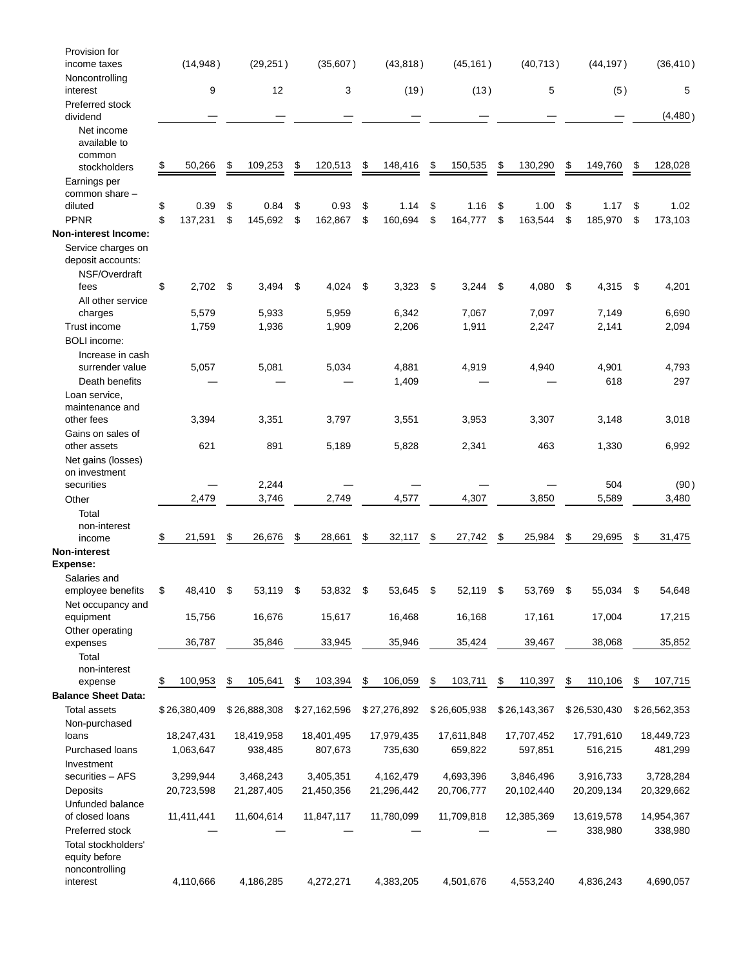| Provision for<br>income taxes                                    | (14, 948)     | (29, 251)     | (35,607)      | (43, 818)     | (45, 161)     | (40, 713)     | (44, 197)     | (36, 410)     |
|------------------------------------------------------------------|---------------|---------------|---------------|---------------|---------------|---------------|---------------|---------------|
| Noncontrolling<br>interest                                       | 9             | 12            | 3             | (19)          | (13)          | 5             | (5)           | 5             |
| Preferred stock<br>dividend                                      |               |               |               |               |               |               |               | (4, 480)      |
| Net income<br>available to                                       |               |               |               |               |               |               |               |               |
| common<br>stockholders<br>Earnings per                           | \$<br>50,266  | 109,253<br>\$ | 120,513<br>\$ | \$<br>148,416 | 150,535<br>\$ | \$<br>130,290 | \$<br>149,760 | \$<br>128,028 |
| common share -<br>diluted                                        | \$<br>0.39    | \$<br>0.84    | \$<br>0.93    | \$<br>1.14    | \$<br>1.16    | 1.00<br>\$    | \$<br>1.17    | \$<br>1.02    |
| <b>PPNR</b>                                                      | \$<br>137,231 | \$<br>145,692 | \$<br>162,867 | \$<br>160,694 | \$<br>164,777 | \$<br>163,544 | \$<br>185,970 | \$<br>173,103 |
| Non-interest Income:                                             |               |               |               |               |               |               |               |               |
| Service charges on<br>deposit accounts:<br>NSF/Overdraft<br>fees | \$<br>2,702   | \$<br>3,494   | \$<br>4,024   | \$<br>3,323   | \$<br>3,244   | \$<br>4,080   | \$<br>4,315   | \$<br>4,201   |
| All other service                                                |               |               |               |               |               |               |               |               |
| charges                                                          | 5,579         | 5,933         | 5,959         | 6,342         | 7,067         | 7,097         | 7,149         | 6,690         |
| Trust income                                                     | 1,759         | 1,936         | 1,909         | 2,206         | 1,911         | 2,247         | 2,141         | 2,094         |
| <b>BOLI</b> income:                                              |               |               |               |               |               |               |               |               |
| Increase in cash                                                 |               |               |               |               |               |               |               |               |
| surrender value                                                  | 5,057         | 5,081         | 5,034         | 4,881         | 4,919         | 4,940         | 4,901         | 4,793         |
| Death benefits                                                   |               |               |               | 1,409         |               |               | 618           | 297           |
| Loan service,                                                    |               |               |               |               |               |               |               |               |
| maintenance and                                                  |               |               |               |               |               |               |               |               |
| other fees                                                       | 3,394         | 3,351         | 3,797         | 3,551         | 3,953         | 3,307         | 3,148         | 3,018         |
| Gains on sales of<br>other assets                                | 621           | 891           | 5,189         | 5,828         | 2,341         | 463           | 1,330         | 6,992         |
| Net gains (losses)                                               |               |               |               |               |               |               |               |               |
| on investment<br>securities                                      |               | 2,244         |               |               |               |               | 504           | (90)          |
| Other                                                            | 2,479         | 3,746         | 2,749         | 4,577         | 4,307         | 3,850         | 5,589         | 3,480         |
| Total                                                            |               |               |               |               |               |               |               |               |
| non-interest<br>income                                           | \$<br>21,591  | \$<br>26,676  | \$<br>28,661  | 32,117<br>\$  | \$<br>27,742  | 25,984<br>\$  | \$<br>29,695  | \$<br>31,475  |
| <b>Non-interest</b>                                              |               |               |               |               |               |               |               |               |
| Expense:                                                         |               |               |               |               |               |               |               |               |
| Salaries and<br>employee benefits                                | 48,410<br>\$  | 53,119        | 53,832        | 53,645        | 52,119        | 53,769        | 55.034        | 54,648        |
| Net occupancy and                                                |               |               |               |               |               |               |               |               |
| equipment                                                        | 15,756        | 16,676        | 15,617        | 16,468        | 16,168        | 17,161        | 17,004        | 17,215        |
| Other operating<br>expenses                                      | 36,787        | 35,846        | 33,945        | 35,946        | 35,424        | 39,467        | 38,068        | 35,852        |
| Total<br>non-interest                                            |               |               |               |               |               |               |               |               |
| expense                                                          | \$<br>100,953 | 105,641<br>\$ | \$<br>103,394 | \$<br>106,059 | 103,711<br>\$ | \$<br>110,397 | \$<br>110,106 | 107,715<br>\$ |
| <b>Balance Sheet Data:</b>                                       |               |               |               |               |               |               |               |               |
| <b>Total assets</b>                                              | \$26,380,409  | \$26,888,308  | \$27,162,596  | \$27,276,892  | \$26,605,938  | \$26,143,367  | \$26,530,430  | \$26,562,353  |
| Non-purchased                                                    |               |               |               |               |               |               |               |               |
| loans                                                            | 18,247,431    | 18,419,958    | 18,401,495    | 17,979,435    | 17,611,848    | 17,707,452    | 17,791,610    | 18,449,723    |
| Purchased loans                                                  | 1,063,647     | 938,485       | 807,673       | 735,630       | 659,822       | 597,851       | 516,215       | 481,299       |
| Investment<br>securities - AFS                                   | 3,299,944     | 3,468,243     | 3,405,351     | 4,162,479     | 4,693,396     | 3,846,496     | 3,916,733     | 3,728,284     |
| Deposits                                                         | 20,723,598    | 21,287,405    | 21,450,356    | 21,296,442    | 20,706,777    | 20,102,440    | 20,209,134    | 20,329,662    |
| Unfunded balance                                                 |               |               |               |               |               |               |               |               |
| of closed loans                                                  | 11,411,441    | 11,604,614    | 11,847,117    | 11,780,099    | 11,709,818    | 12,385,369    | 13,619,578    | 14,954,367    |
| Preferred stock<br>Total stockholders'<br>equity before          |               |               |               |               |               |               | 338,980       | 338,980       |
| noncontrolling<br>interest                                       | 4,110,666     | 4,186,285     | 4,272,271     | 4,383,205     | 4,501,676     | 4,553,240     | 4,836,243     | 4,690,057     |
|                                                                  |               |               |               |               |               |               |               |               |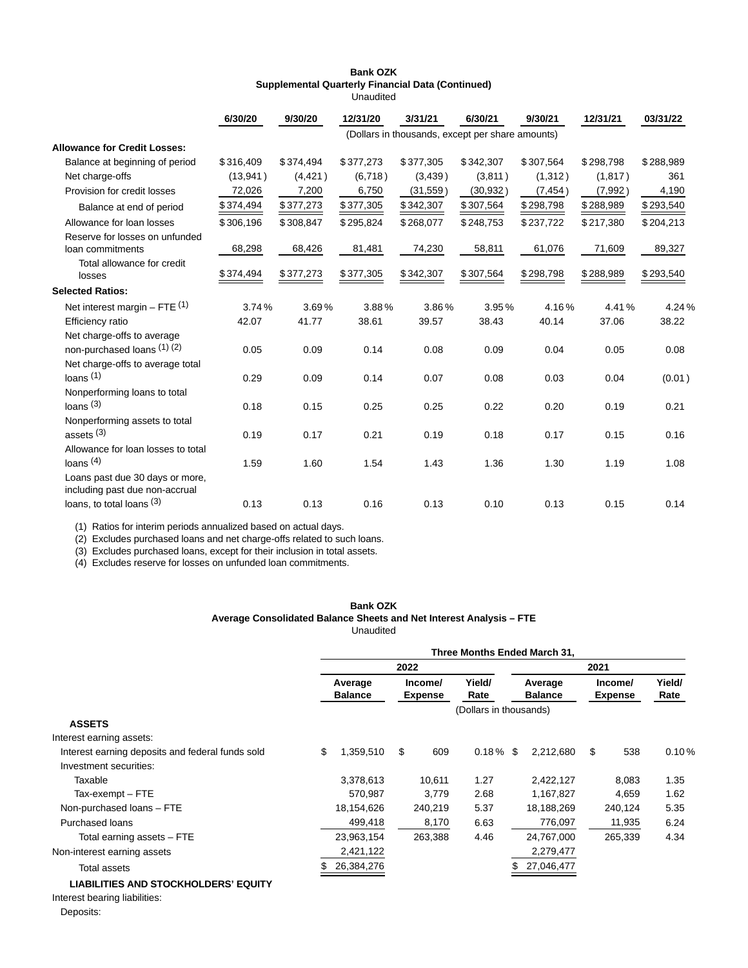## **Bank OZK Supplemental Quarterly Financial Data (Continued)** Unaudited

|                                                                                  | 6/30/20   | 9/30/20   | 12/31/20  | 3/31/21                                          | 6/30/21   | 9/30/21   | 12/31/21  | 03/31/22  |
|----------------------------------------------------------------------------------|-----------|-----------|-----------|--------------------------------------------------|-----------|-----------|-----------|-----------|
|                                                                                  |           |           |           | (Dollars in thousands, except per share amounts) |           |           |           |           |
| <b>Allowance for Credit Losses:</b>                                              |           |           |           |                                                  |           |           |           |           |
| Balance at beginning of period                                                   | \$316,409 | \$374,494 | \$377,273 | \$377,305                                        | \$342,307 | \$307,564 | \$298,798 | \$288,989 |
| Net charge-offs                                                                  | (13,941)  | (4, 421)  | (6,718)   | (3,439)                                          | (3,811)   | (1,312)   | (1, 817)  | 361       |
| Provision for credit losses                                                      | 72,026    | 7,200     | 6,750     | (31, 559)                                        | (30, 932) | (7, 454)  | (7,992)   | 4,190     |
| Balance at end of period                                                         | \$374,494 | \$377,273 | \$377,305 | \$342,307                                        | \$307,564 | \$298,798 | \$288,989 | \$293,540 |
| Allowance for loan losses                                                        | \$306,196 | \$308,847 | \$295,824 | \$268,077                                        | \$248,753 | \$237,722 | \$217,380 | \$204,213 |
| Reserve for losses on unfunded<br>loan commitments<br>Total allowance for credit | 68,298    | 68,426    | 81,481    | 74,230                                           | 58,811    | 61,076    | 71,609    | 89,327    |
| losses                                                                           | \$374,494 | \$377,273 | \$377,305 | \$342,307                                        | \$307,564 | \$298,798 | \$288,989 | \$293,540 |
| <b>Selected Ratios:</b>                                                          |           |           |           |                                                  |           |           |           |           |
| Net interest margin $-$ FTE $(1)$                                                | 3.74%     | 3.69%     | 3.88%     | 3.86%                                            | 3.95%     | 4.16%     | 4.41%     | 4.24%     |
| Efficiency ratio                                                                 | 42.07     | 41.77     | 38.61     | 39.57                                            | 38.43     | 40.14     | 37.06     | 38.22     |
| Net charge-offs to average<br>non-purchased loans (1) (2)                        | 0.05      | 0.09      | 0.14      | 0.08                                             | 0.09      | 0.04      | 0.05      | 0.08      |
| Net charge-offs to average total                                                 |           |           |           |                                                  |           |           |           |           |
| loans <sup>(1)</sup>                                                             | 0.29      | 0.09      | 0.14      | 0.07                                             | 0.08      | 0.03      | 0.04      | (0.01)    |
| Nonperforming loans to total                                                     |           |           |           |                                                  |           |           |           |           |
| loans <sup>(3)</sup>                                                             | 0.18      | 0.15      | 0.25      | 0.25                                             | 0.22      | 0.20      | 0.19      | 0.21      |
| Nonperforming assets to total<br>assets <sup>(3)</sup>                           | 0.19      | 0.17      | 0.21      | 0.19                                             | 0.18      | 0.17      | 0.15      | 0.16      |
| Allowance for loan losses to total<br>loans $(4)$                                | 1.59      | 1.60      | 1.54      | 1.43                                             | 1.36      | 1.30      | 1.19      | 1.08      |
| Loans past due 30 days or more,<br>including past due non-accrual                |           |           |           |                                                  |           |           |           |           |
| loans, to total loans $(3)$                                                      | 0.13      | 0.13      | 0.16      | 0.13                                             | 0.10      | 0.13      | 0.15      | 0.14      |

(1) Ratios for interim periods annualized based on actual days.

(2) Excludes purchased loans and net charge-offs related to such loans.

(3) Excludes purchased loans, except for their inclusion in total assets.

(4) Excludes reserve for losses on unfunded loan commitments.

#### **Bank OZK Average Consolidated Balance Sheets and Net Interest Analysis – FTE** Unaudited

| Three Months Ended March 31, |                           |                |                           |                           |                |  |  |  |  |  |  |
|------------------------------|---------------------------|----------------|---------------------------|---------------------------|----------------|--|--|--|--|--|--|
|                              | 2022                      |                |                           | 2021                      |                |  |  |  |  |  |  |
| Average<br><b>Balance</b>    | Income/<br><b>Expense</b> | Yield/<br>Rate | Average<br><b>Balance</b> | Income/<br><b>Expense</b> | Yield/<br>Rate |  |  |  |  |  |  |
| (Dollars in thousands)       |                           |                |                           |                           |                |  |  |  |  |  |  |
|                              |                           |                |                           |                           |                |  |  |  |  |  |  |
|                              |                           |                |                           |                           |                |  |  |  |  |  |  |
| \$<br>1,359,510              | \$.<br>609                |                | 2,212,680                 | \$<br>538                 | 0.10%          |  |  |  |  |  |  |
|                              |                           |                |                           |                           |                |  |  |  |  |  |  |
| 3,378,613                    | 10,611                    | 1.27           | 2,422,127                 | 8,083                     | 1.35           |  |  |  |  |  |  |
| 570,987                      | 3,779                     | 2.68           | 1,167,827                 | 4,659                     | 1.62           |  |  |  |  |  |  |
| 18,154,626                   | 240,219                   | 5.37           | 18,188,269                | 240,124                   | 5.35           |  |  |  |  |  |  |
| 499,418                      | 8,170                     | 6.63           | 776,097                   | 11,935                    | 6.24           |  |  |  |  |  |  |
| 23,963,154                   | 263,388                   | 4.46           | 24,767,000                | 265,339                   | 4.34           |  |  |  |  |  |  |
| 2,421,122                    |                           |                | 2,279,477                 |                           |                |  |  |  |  |  |  |
| 26,384,276                   |                           |                | 27,046,477                |                           |                |  |  |  |  |  |  |
|                              |                           |                |                           |                           |                |  |  |  |  |  |  |
|                              |                           |                |                           | $0.18\%$ \$               |                |  |  |  |  |  |  |

Interest bearing liabilities:

Deposits: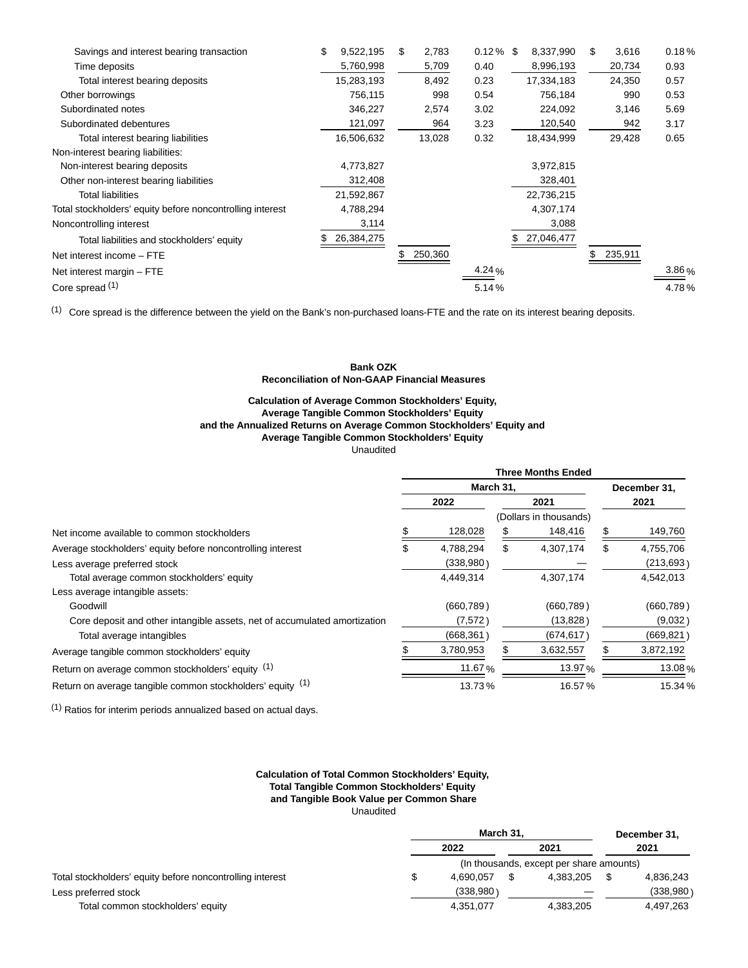| Savings and interest bearing transaction                  | \$<br>9,522,195 | 2,783<br>\$. | $0.12\%$ \$<br>8,337,990 | 3,616<br>\$ | 0.18%    |
|-----------------------------------------------------------|-----------------|--------------|--------------------------|-------------|----------|
| Time deposits                                             | 5,760,998       | 5,709        | 8,996,193<br>0.40        | 20,734      | 0.93     |
| Total interest bearing deposits                           | 15,283,193      | 8,492        | 17,334,183<br>0.23       | 24,350      | 0.57     |
| Other borrowings                                          | 756,115         | 998          | 0.54<br>756,184          | 990         | 0.53     |
| Subordinated notes                                        | 346,227         | 2,574        | 3.02<br>224,092          | 3,146       | 5.69     |
| Subordinated debentures                                   | 121,097         | 964          | 120,540<br>3.23          | 942         | 3.17     |
| Total interest bearing liabilities                        | 16,506,632      | 13,028       | 0.32<br>18,434,999       | 29,428      | 0.65     |
| Non-interest bearing liabilities:                         |                 |              |                          |             |          |
| Non-interest bearing deposits                             | 4,773,827       |              | 3,972,815                |             |          |
| Other non-interest bearing liabilities                    | 312,408         |              | 328,401                  |             |          |
| <b>Total liabilities</b>                                  | 21,592,867      |              | 22,736,215               |             |          |
| Total stockholders' equity before noncontrolling interest | 4,788,294       |              | 4,307,174                |             |          |
| Noncontrolling interest                                   | 3,114           |              | 3,088                    |             |          |
| Total liabilities and stockholders' equity                | 26,384,275      |              | 27,046,477               |             |          |
| Net interest income - FTE                                 |                 | 250,360      |                          | 235,911     |          |
| Net interest margin - FTE                                 |                 |              | 4.24%                    |             | $3.86\%$ |
| Core spread (1)                                           |                 |              | 5.14%                    |             | 4.78%    |
|                                                           |                 |              |                          |             |          |

(1) Core spread is the difference between the yield on the Bank's non-purchased loans-FTE and the rate on its interest bearing deposits.

#### **Bank OZK Reconciliation of Non-GAAP Financial Measures**

# **Calculation of Average Common Stockholders' Equity, Average Tangible Common Stockholders' Equity and the Annualized Returns on Average Common Stockholders' Equity and Average Tangible Common Stockholders' Equity**

Unaudited

|                                                                           | <b>Three Months Ended</b> |            |           |                        |   |              |  |  |
|---------------------------------------------------------------------------|---------------------------|------------|-----------|------------------------|---|--------------|--|--|
|                                                                           |                           |            | March 31. |                        |   | December 31, |  |  |
|                                                                           |                           | 2022       |           | 2021                   |   | 2021         |  |  |
|                                                                           |                           |            |           | (Dollars in thousands) |   |              |  |  |
| Net income available to common stockholders                               |                           | 128,028    |           | 148,416                |   | 149,760      |  |  |
| Average stockholders' equity before noncontrolling interest               |                           | 4,788,294  | S         | 4,307,174              | S | 4,755,706    |  |  |
| Less average preferred stock                                              |                           | (338,980)  |           |                        |   | (213, 693)   |  |  |
| Total average common stockholders' equity                                 |                           | 4,449,314  |           | 4,307,174              |   | 4,542,013    |  |  |
| Less average intangible assets:                                           |                           |            |           |                        |   |              |  |  |
| Goodwill                                                                  |                           | (660, 789) |           | (660, 789)             |   | (660, 789)   |  |  |
| Core deposit and other intangible assets, net of accumulated amortization |                           | (7,572)    |           | (13,828)               |   | (9,032)      |  |  |
| Total average intangibles                                                 |                           | (668, 361) |           | (674, 617)             |   | (669, 821)   |  |  |
| Average tangible common stockholders' equity                              |                           | 3,780,953  |           | 3,632,557              |   | 3,872,192    |  |  |
| Return on average common stockholders' equity (1)                         |                           | 11.67 $%$  |           | 13.97%                 |   | 13.08%       |  |  |
| Return on average tangible common stockholders' equity (1)                |                           | 13.73%     |           | 16.57%                 |   | 15.34%       |  |  |

(1) Ratios for interim periods annualized based on actual days.

#### **Calculation of Total Common Stockholders' Equity, Total Tangible Common Stockholders' Equity and Tangible Book Value per Common Share** Unaudited

|                                                           |                                          | March 31.    |  |           |  | December 31, |  |  |
|-----------------------------------------------------------|------------------------------------------|--------------|--|-----------|--|--------------|--|--|
|                                                           |                                          | 2021<br>2022 |  |           |  | 2021         |  |  |
|                                                           | (In thousands, except per share amounts) |              |  |           |  |              |  |  |
| Total stockholders' equity before noncontrolling interest |                                          | 4.690.057    |  | 4.383.205 |  | 4,836,243    |  |  |
| Less preferred stock                                      |                                          | (338,980)    |  |           |  | (338,980)    |  |  |
| Total common stockholders' equity                         |                                          | 4,351,077    |  | 4,383,205 |  | 4,497,263    |  |  |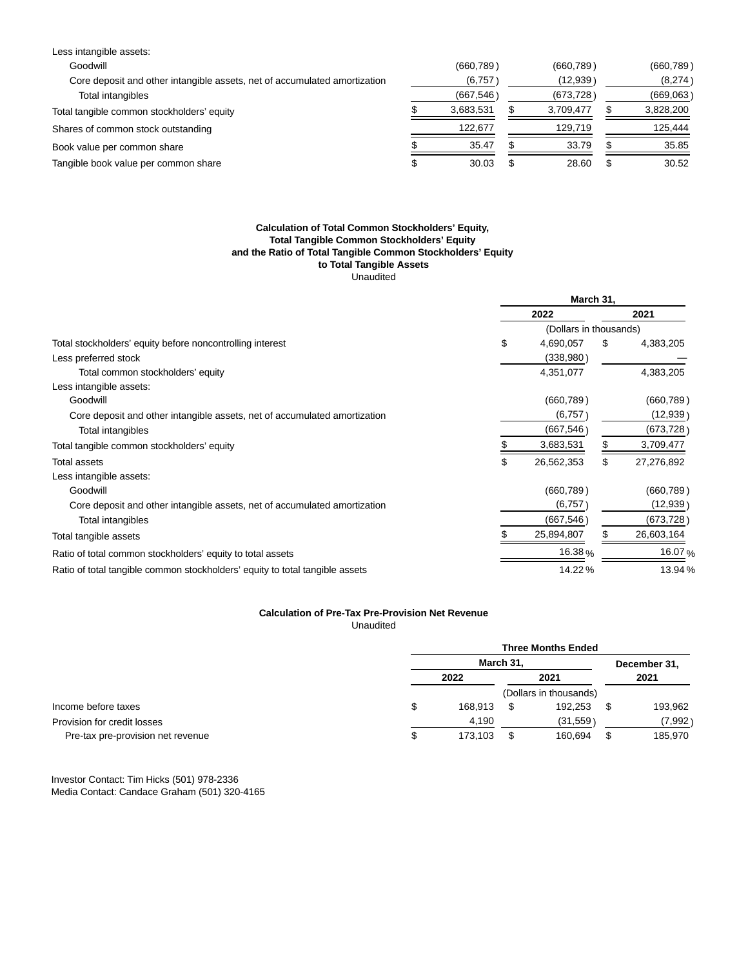| Less intangible assets:                                                   |            |            |            |
|---------------------------------------------------------------------------|------------|------------|------------|
| Goodwill                                                                  | (660, 789) | (660, 789) | (660, 789) |
| Core deposit and other intangible assets, net of accumulated amortization | (6,757)    | (12,939)   | (8,274)    |
| Total intangibles                                                         | (667, 546) | (673, 728) | (669,063)  |
| Total tangible common stockholders' equity                                | 3,683,531  | 3,709,477  | 3,828,200  |
| Shares of common stock outstanding                                        | 122,677    | 129.719    | 125,444    |
| Book value per common share                                               | 35.47      | 33.79      | 35.85      |
| Tangible book value per common share                                      | 30.03      | 28.60      | 30.52      |

## **Calculation of Total Common Stockholders' Equity, Total Tangible Common Stockholders' Equity and the Ratio of Total Tangible Common Stockholders' Equity to Total Tangible Assets** Unaudited

|                                                                              | March 31, |                        |    |            |  |
|------------------------------------------------------------------------------|-----------|------------------------|----|------------|--|
|                                                                              |           | 2022                   |    | 2021       |  |
|                                                                              |           | (Dollars in thousands) |    |            |  |
| Total stockholders' equity before noncontrolling interest                    | \$        | 4,690,057              | \$ | 4,383,205  |  |
| Less preferred stock                                                         |           | (338, 980)             |    |            |  |
| Total common stockholders' equity                                            |           | 4,351,077              |    | 4,383,205  |  |
| Less intangible assets:                                                      |           |                        |    |            |  |
| Goodwill                                                                     |           | (660, 789)             |    | (660, 789) |  |
| Core deposit and other intangible assets, net of accumulated amortization    |           | (6,757)                |    | (12, 939)  |  |
| Total intangibles                                                            |           | (667, 546)             |    | (673, 728) |  |
| Total tangible common stockholders' equity                                   |           | 3,683,531              |    | 3,709,477  |  |
| Total assets                                                                 | \$        | 26,562,353             | \$ | 27,276,892 |  |
| Less intangible assets:                                                      |           |                        |    |            |  |
| Goodwill                                                                     |           | (660, 789)             |    | (660, 789) |  |
| Core deposit and other intangible assets, net of accumulated amortization    |           | (6,757)                |    | (12, 939)  |  |
| Total intangibles                                                            |           | (667, 546)             |    | (673, 728) |  |
| Total tangible assets                                                        |           | 25,894,807             |    | 26,603,164 |  |
| Ratio of total common stockholders' equity to total assets                   |           | 16.38 $%$              |    | 16.07%     |  |
| Ratio of total tangible common stockholders' equity to total tangible assets |           | 14.22%                 |    | 13.94%     |  |

# **Calculation of Pre-Tax Pre-Provision Net Revenue**

Unaudited

|                                   |                           | <b>Three Months Ended</b> |  |                        |  |         |  |
|-----------------------------------|---------------------------|---------------------------|--|------------------------|--|---------|--|
|                                   | March 31,<br>2021<br>2022 |                           |  | December 31,<br>2021   |  |         |  |
|                                   |                           |                           |  |                        |  |         |  |
|                                   |                           |                           |  | (Dollars in thousands) |  |         |  |
| Income before taxes               | \$                        | 168.913                   |  | 192.253                |  | 193,962 |  |
| Provision for credit losses       |                           | 4.190                     |  | (31,559)               |  | (7,992) |  |
| Pre-tax pre-provision net revenue | S                         | 173.103                   |  | 160.694                |  | 185,970 |  |

Investor Contact: Tim Hicks (501) 978-2336 Media Contact: Candace Graham (501) 320-4165